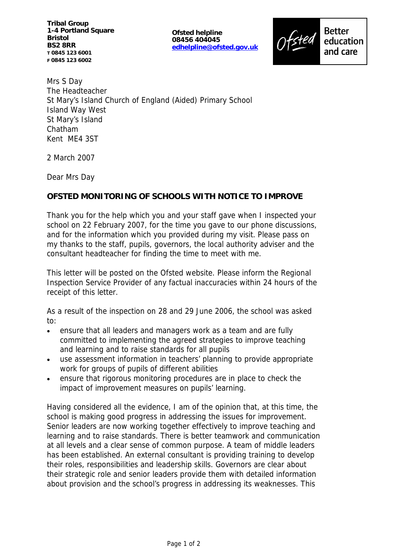**Tribal Group 1-4 Portland Square Bristol BS2 8RR T 0845 123 6001 F 0845 123 6002**

**Ofsted helpline 08456 404045 edhelpline@ofsted.gov.uk**



Mrs S Day The Headteacher St Mary's Island Church of England (Aided) Primary School Island Way West St Mary's Island Chatham Kent ME4 3ST

2 March 2007

Dear Mrs Day

## **OFSTED MONITORING OF SCHOOLS WITH NOTICE TO IMPROVE**

Thank you for the help which you and your staff gave when I inspected your school on 22 February 2007, for the time you gave to our phone discussions, and for the information which you provided during my visit. Please pass on my thanks to the staff, pupils, governors, the local authority adviser and the consultant headteacher for finding the time to meet with me.

This letter will be posted on the Ofsted website. Please inform the Regional Inspection Service Provider of any factual inaccuracies within 24 hours of the receipt of this letter.

As a result of the inspection on 28 and 29 June 2006, the school was asked to:

- ensure that all leaders and managers work as a team and are fully committed to implementing the agreed strategies to improve teaching and learning and to raise standards for all pupils
- use assessment information in teachers' planning to provide appropriate work for groups of pupils of different abilities
- ensure that rigorous monitoring procedures are in place to check the impact of improvement measures on pupils' learning.

Having considered all the evidence, I am of the opinion that, at this time, the school is making good progress in addressing the issues for improvement. Senior leaders are now working together effectively to improve teaching and learning and to raise standards. There is better teamwork and communication at all levels and a clear sense of common purpose. A team of middle leaders has been established. An external consultant is providing training to develop their roles, responsibilities and leadership skills. Governors are clear about their strategic role and senior leaders provide them with detailed information about provision and the school's progress in addressing its weaknesses. This